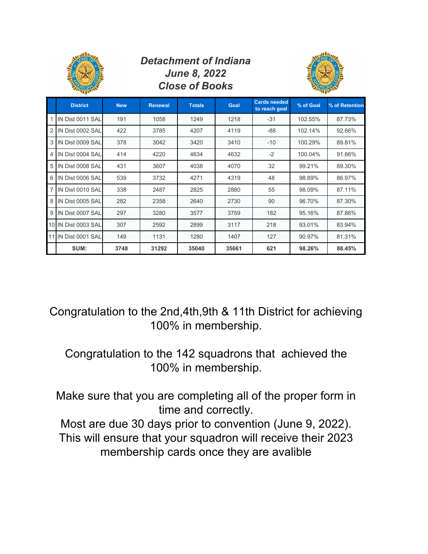|                |                     |            |                | <b>Detachment of Indiana</b><br><b>June 8, 2022</b><br><b>Close of Books</b> |       |                                      |           |                |  |
|----------------|---------------------|------------|----------------|------------------------------------------------------------------------------|-------|--------------------------------------|-----------|----------------|--|
|                | <b>District</b>     | <b>New</b> | <b>Renewal</b> | <b>Totals</b>                                                                | Goal  | <b>Cards needed</b><br>to reach goal | % of Goal | % of Retention |  |
| $\mathbf{1}$   | IN Dist 0011 SAL    | 191        | 1058           | 1249                                                                         | 1218  | $-31$                                | 102.55%   | 87.73%         |  |
| $\overline{2}$ | IN Dist 0002 SAL    | 422        | 3785           | 4207                                                                         | 4119  | $-88$                                | 102.14%   | 92.66%         |  |
| 3              | IN Dist 0009 SAL    | 378        | 3042           | 3420                                                                         | 3410  | $-10$                                | 100.29%   | 89.81%         |  |
| $\overline{4}$ | IN Dist 0004 SAL    | 414        | 4220           | 4634                                                                         | 4632  | $-2$                                 | 100.04%   | 91.66%         |  |
| 5              | IN Dist 0008 SAL    | 431        | 3607           | 4038                                                                         | 4070  | 32                                   | 99.21%    | 89.30%         |  |
| 6              | IN Dist 0006 SAL    | 539        | 3732           | 4271                                                                         | 4319  | 48                                   | 98.89%    | 86.97%         |  |
| $\overline{7}$ | IN Dist 0010 SAL    | 338        | 2487           | 2825                                                                         | 2880  | 55                                   | 98.09%    | 87.11%         |  |
| 8              | IN Dist 0005 SAL    | 282        | 2358           | 2640                                                                         | 2730  | 90                                   | 96.70%    | 87.30%         |  |
| 9              | IN Dist 0007 SAL    | 297        | 3280           | 3577                                                                         | 3759  | 182                                  | 95.16%    | 87.86%         |  |
|                | 10 IN Dist 0003 SAL | 307        | 2592           | 2899                                                                         | 3117  | 218                                  | 93.01%    | 83.94%         |  |
|                | 11 IN Dist 0001 SAL | 149        | 1131           | 1280                                                                         | 1407  | 127                                  | 90.97%    | 81.31%         |  |
|                | SUM:                | 3748       | 31292          | 35040                                                                        | 35661 | 621                                  | 98.26%    | 88.45%         |  |

Congratulation to the 2nd,4th,9th & 11th District for achieving 100% in membership.

Congratulation to the 142 squadrons that achieved the 100% in membership.

Make sure that you are completing all of the proper form in time and correctly.

Most are due 30 days prior to convention (June 9, 2022). This will ensure that your squadron will receive their 2023 membership cards once they are avalible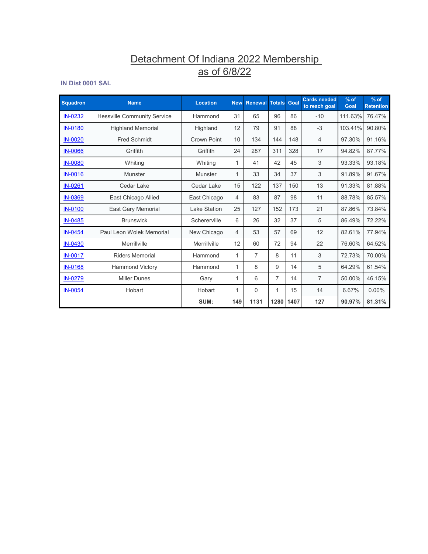# Detachment Of Indiana 2022 Membership <u>as of 6/8/22</u>

## **IN Dist 0001 SAL**

| <b>Squadron</b> | <b>Name</b>                        | <b>Location</b> | <b>New</b> | <b>Renewal Totals</b> |      | Goal | <b>Cards needed</b><br>to reach goal | $%$ of<br>Goal | $%$ of<br><b>Retention</b> |
|-----------------|------------------------------------|-----------------|------------|-----------------------|------|------|--------------------------------------|----------------|----------------------------|
| <b>IN-0232</b>  | <b>Hessville Community Service</b> | Hammond         | 31         | 65                    | 96   | 86   | $-10$                                | 111.63%        | 76.47%                     |
| <b>IN-0180</b>  | <b>Highland Memorial</b>           | Highland        | 12         | 79                    | 91   | 88   | $-3$                                 | 103.41%        | 90.80%                     |
| <b>IN-0020</b>  | <b>Fred Schmidt</b>                | Crown Point     | 10         | 134                   | 144  | 148  | 4                                    | 97.30%         | 91.16%                     |
| <b>IN-0066</b>  | Griffith                           | Griffith        | 24         | 287                   | 311  | 328  | 17                                   | 94.82%         | 87.77%                     |
| <b>IN-0080</b>  | Whiting                            | Whiting         | 1          | 41                    | 42   | 45   | 3                                    | 93.33%         | 93.18%                     |
| <b>IN-0016</b>  | Munster                            | Munster         | 1          | 33                    | 34   | 37   | 3                                    | 91.89%         | 91.67%                     |
| <b>IN-0261</b>  | Cedar Lake                         | Cedar Lake      | 15         | 122                   | 137  | 150  | 13                                   | 91.33%         | 81.88%                     |
| <b>IN-0369</b>  | East Chicago Allied                | East Chicago    | 4          | 83                    | 87   | 98   | 11                                   | 88.78%         | 85.57%                     |
| <b>IN-0100</b>  | <b>East Gary Memorial</b>          | Lake Station    | 25         | 127                   | 152  | 173  | 21                                   | 87.86%         | 73.84%                     |
| <b>IN-0485</b>  | <b>Brunswick</b>                   | Schererville    | 6          | 26                    | 32   | 37   | 5                                    | 86.49%         | 72.22%                     |
| <b>IN-0454</b>  | Paul Leon Wolek Memorial           | New Chicago     | 4          | 53                    | 57   | 69   | 12                                   | 82.61%         | 77.94%                     |
| <b>IN-0430</b>  | Merrillville                       | Merrillville    | 12         | 60                    | 72   | 94   | 22                                   | 76.60%         | 64.52%                     |
| <b>IN-0017</b>  | <b>Riders Memorial</b>             | Hammond         | 1          | 7                     | 8    | 11   | 3                                    | 72.73%         | 70.00%                     |
| <b>IN-0168</b>  | <b>Hammond Victory</b>             | Hammond         | 1          | 8                     | 9    | 14   | 5                                    | 64.29%         | 61.54%                     |
| <b>IN-0279</b>  | <b>Miller Dunes</b>                | Gary            | 1          | 6                     | 7    | 14   | $\overline{7}$                       | 50.00%         | 46.15%                     |
| <b>IN-0054</b>  | Hobart                             | Hobart          | 1          | $\Omega$              | 1    | 15   | 14                                   | 6.67%          | $0.00\%$                   |
|                 |                                    | SUM:            | 149        | 1131                  | 1280 | 1407 | 127                                  | 90.97%         | 81.31%                     |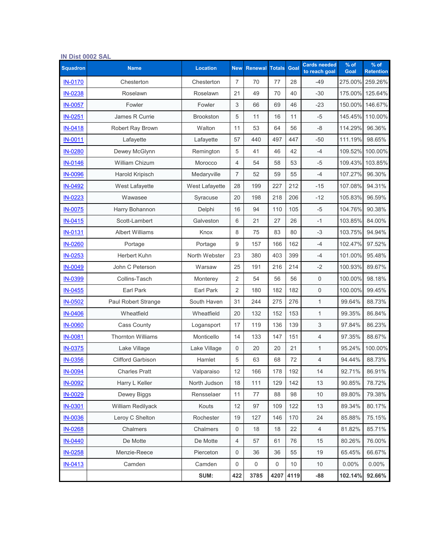| IN Dist 0002 SAL |                          |                  |                |                       |     |           |                                      |                |                            |
|------------------|--------------------------|------------------|----------------|-----------------------|-----|-----------|--------------------------------------|----------------|----------------------------|
| <b>Squadron</b>  | <b>Name</b>              | <b>Location</b>  | <b>New</b>     | <b>Renewal Totals</b> |     | Goal      | <b>Cards needed</b><br>to reach goal | $%$ of<br>Goal | $%$ of<br><b>Retention</b> |
| <b>IN-0170</b>   | Chesterton               | Chesterton       | $\overline{7}$ | 70                    | 77  | 28        | $-49$                                | 275.00%        | 259.26%                    |
| IN-0238          | Roselawn                 | Roselawn         | 21             | 49                    | 70  | 40        | $-30$                                | 175.00%        | 125.64%                    |
| <b>IN-0057</b>   | Fowler                   | Fowler           | 3              | 66                    | 69  | 46        | $-23$                                | 150.00%        | 146.67%                    |
| <b>IN-0251</b>   | James R Currie           | <b>Brookston</b> | 5              | 11                    | 16  | 11        | $-5$                                 | 145.45%        | 110.00%                    |
| <b>IN-0418</b>   | Robert Ray Brown         | Walton           | 11             | 53                    | 64  | 56        | $-8$                                 | 114.29%        | 96.36%                     |
| <b>IN-0011</b>   | Lafayette                | Lafayette        | 57             | 440                   | 497 | 447       | $-50$                                | 111.19%        | 98.65%                     |
| IN-0280          | Dewey McGlynn            | Remington        | 5              | 41                    | 46  | 42        | $-4$                                 | 109.52%        | 100.00%                    |
| IN-0146          | <b>William Chizum</b>    | Morocco          | 4              | 54                    | 58  | 53        | $-5$                                 | 109.43%        | 103.85%                    |
| <b>IN-0096</b>   | Harold Kripisch          | Medaryville      | 7              | 52                    | 59  | 55        | $-4$                                 | 107.27%        | 96.30%                     |
| <b>IN-0492</b>   | <b>West Lafayette</b>    | West Lafayette   | 28             | 199                   | 227 | 212       | $-15$                                | 107.08%        | 94.31%                     |
| IN-0223          | Wawasee                  | Syracuse         | 20             | 198                   | 218 | 206       | $-12$                                | 105.83%        | 96.59%                     |
| <b>IN-0075</b>   | Harry Bohannon           | Delphi           | 16             | 94                    | 110 | 105       | $-5$                                 | 104.76%        | 90.38%                     |
| IN-0415          | Scott-Lambert            | Galveston        | 6              | 21                    | 27  | 26        | $-1$                                 | 103.85%        | 84.00%                     |
| <b>IN-0131</b>   | <b>Albert Williams</b>   | Knox             | 8              | 75                    | 83  | 80        | $-3$                                 | 103.75%        | 94.94%                     |
| <b>IN-0260</b>   | Portage                  | Portage          | 9              | 157                   | 166 | 162       | $-4$                                 | 102.47%        | 97.52%                     |
| IN-0253          | <b>Herbert Kuhn</b>      | North Webster    | 23             | 380                   | 403 | 399       | $-4$                                 | 101.00%        | 95.48%                     |
| IN-0049          | John C Peterson          | Warsaw           | 25             | 191                   | 216 | 214       | $-2$                                 | 100.93%        | 89.67%                     |
| IN-0399          | Collins-Tasch            | Monterey         | 2              | 54                    | 56  | 56        | $\mathsf{O}\xspace$                  | 100.00%        | 98.18%                     |
| IN-0455          | Earl Park                | <b>Earl Park</b> | $\overline{2}$ | 180                   | 182 | 182       | $\mathbf 0$                          | 100.00%        | 99.45%                     |
| IN-0502          | Paul Robert Strange      | South Haven      | 31             | 244                   | 275 | 276       | $\mathbf{1}$                         | 99.64%         | 88.73%                     |
| <b>IN-0406</b>   | Wheatfield               | Wheatfield       | 20             | 132                   | 152 | 153       | $\mathbf{1}$                         | 99.35%         | 86.84%                     |
| <b>IN-0060</b>   | <b>Cass County</b>       | Logansport       | 17             | 119                   | 136 | 139       | 3                                    | 97.84%         | 86.23%                     |
| <b>IN-0081</b>   | <b>Thornton Williams</b> | Monticello       | 14             | 133                   | 147 | 151       | $\overline{4}$                       | 97.35%         | 88.67%                     |
| <b>IN-0375</b>   | Lake Village             | Lake Village     | 0              | 20                    | 20  | 21        | 1                                    | 95.24%         | 100.00%                    |
| IN-0356          | <b>Clifford Garbison</b> | Hamlet           | 5              | 63                    | 68  | 72        | $\overline{4}$                       | 94.44%         | 88.73%                     |
| <b>IN-0094</b>   | <b>Charles Pratt</b>     | Valparaiso       | 12             | 166                   | 178 | 192       | 14                                   | 92.71%         | 86.91%                     |
| IN-0092          | Harry L Keller           | North Judson     | 18             | 111                   | 129 | 142       | 13                                   | 90.85%         | 78.72%                     |
| IN-0029          | Dewey Biggs              | Rensselaer       | 11             | 77                    | 88  | 98        | $10$                                 | 89.80%         | 79.38%                     |
| IN-0301          | William Redilyack        | Kouts            | 12             | 97                    | 109 | 122       | 13                                   | 89.34%         | 80.17%                     |
| IN-0036          | Leroy C Shelton          | Rochester        | 19             | 127                   | 146 | 170       | 24                                   | 85.88%         | 75.15%                     |
| IN-0268          | Chalmers                 | Chalmers         | 0              | 18                    | 18  | 22        | $\overline{4}$                       | 81.82%         | 85.71%                     |
| IN-0440          | De Motte                 | De Motte         | 4              | 57                    | 61  | 76        | 15                                   | 80.26%         | 76.00%                     |
| <b>IN-0258</b>   | Menzie-Reece             | Pierceton        | $\,0\,$        | 36                    | 36  | 55        | 19                                   | 65.45%         | 66.67%                     |
| IN-0413          | Camden                   | Camden           | 0              | 0                     | 0   | 10        | 10                                   | 0.00%          | $0.00\%$                   |
|                  |                          | SUM:             | 422            | 3785                  |     | 4207 4119 | $-88$                                | 102.14%        | 92.66%                     |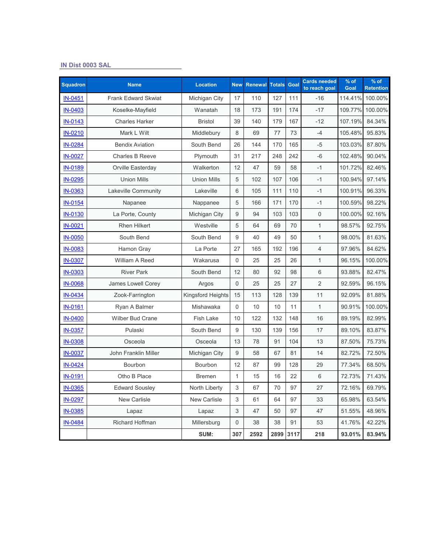## **IN Dist 0003 SAL**

| <b>Squadron</b> | <b>Name</b>                 | <b>Location</b>     | <b>New</b>     | <b>Renewal</b> | <b>Totals</b> | Goal | <b>Cards needed</b><br>to reach goal | % of<br>Goal | $%$ of<br><b>Retention</b> |
|-----------------|-----------------------------|---------------------|----------------|----------------|---------------|------|--------------------------------------|--------------|----------------------------|
| IN-0451         | <b>Frank Edward Skwiat</b>  | Michigan City       | 17             | 110            | 127           | 111  | $-16$                                | 114.41%      | 100.00%                    |
| IN-0403         | Koselke-Mayfield            | Wanatah             | 18             | 173            | 191           | 174  | $-17$                                | 109.77%      | 100.00%                    |
| IN-0143         | <b>Charles Harker</b>       | <b>Bristol</b>      | 39             | 140            | 179           | 167  | $-12$                                | 107.19%      | 84.34%                     |
| IN-0210         | Mark L Wilt                 | Middlebury          | 8              | 69             | 77            | 73   | $-4$                                 | 105.48%      | 95.83%                     |
| IN-0284         | <b>Bendix Aviation</b>      | South Bend          | 26             | 144            | 170           | 165  | $-5$                                 | 103.03%      | 87.80%                     |
| <b>IN-0027</b>  | <b>Charles B Reeve</b>      | Plymouth            | 31             | 217            | 248           | 242  | $-6$                                 | 102.48%      | 90.04%                     |
| IN-0189         | Orville Easterday           | Walkerton           | 12             | 47             | 59            | 58   | $-1$                                 | 101.72%      | 82.46%                     |
| IN-0295         | <b>Union Mills</b>          | <b>Union Mills</b>  | 5              | 102            | 107           | 106  | $-1$                                 | 100.94%      | 97.14%                     |
| <b>IN-0363</b>  | Lakeville Community         | Lakeville           | 6              | 105            | 111           | 110  | $-1$                                 | 100.91%      | 96.33%                     |
| IN-0154         | Napanee                     | Nappanee            | 5              | 166            | 171           | 170  | $-1$                                 | 100.59%      | 98.22%                     |
| IN-0130         | La Porte, County            | Michigan City       | 9              | 94             | 103           | 103  | $\overline{0}$                       | 100.00%      | 92.16%                     |
| IN-0021         | <b>Rhen Hilkert</b>         | Westville           | 5              | 64             | 69            | 70   | $\mathbf{1}$                         | 98.57%       | 92.75%                     |
| <b>IN-0050</b>  | South Bend                  | South Bend          | 9              | 40             | 49            | 50   | $\mathbf{1}$                         | 98.00%       | 81.63%                     |
| IN-0083         | Hamon Gray                  | La Porte            | 27             | 165            | 192           | 196  | $\overline{4}$                       | 97.96%       | 84.62%                     |
| <b>IN-0307</b>  | William A Reed              | Wakarusa            | $\overline{0}$ | 25             | 25            | 26   | $\mathbf{1}$                         | 96.15%       | 100.00%                    |
| IN-0303         | <b>River Park</b>           | South Bend          | 12             | 80             | 92            | 98   | 6                                    | 93.88%       | 82.47%                     |
| <b>IN-0068</b>  | James Lowell Corey          | Argos               | 0              | 25             | 25            | 27   | $\overline{2}$                       | 92.59%       | 96.15%                     |
| IN-0434         | Zook-Farrington             | Kingsford Heights   | 15             | 113            | 128           | 139  | 11                                   | 92.09%       | 81.88%                     |
| IN-0161         | Ryan A Balmer               | Mishawaka           | $\overline{0}$ | 10             | 10            | 11   | $\mathbf{1}$                         | 90.91%       | 100.00%                    |
| <b>IN-0400</b>  | <b>Wilber Bud Crane</b>     | <b>Fish Lake</b>    | 10             | 122            | 132           | 148  | 16                                   | 89.19%       | 82.99%                     |
| IN-0357         | Pulaski                     | South Bend          | 9              | 130            | 139           | 156  | 17                                   | 89.10%       | 83.87%                     |
| <b>IN-0308</b>  | Osceola                     | Osceola             | 13             | 78             | 91            | 104  | 13                                   | 87.50%       | 75.73%                     |
| <b>IN-0037</b>  | <b>John Franklin Miller</b> | Michigan City       | 9              | 58             | 67            | 81   | 14                                   | 82.72%       | 72.50%                     |
| IN-0424         | Bourbon                     | Bourbon             | 12             | 87             | 99            | 128  | 29                                   | 77.34%       | 68.50%                     |
| IN-0191         | Otho B Place                | <b>Bremen</b>       | $\mathbf{1}$   | 15             | 16            | 22   | 6                                    | 72.73%       | 71.43%                     |
| <b>IN-0365</b>  | <b>Edward Sousley</b>       | North Liberty       | 3              | 67             | 70            | 97   | 27                                   | 72.16%       | 69.79%                     |
| IN-0297         | <b>New Carlisle</b>         | <b>New Carlisle</b> | 3              | 61             | 64            | 97   | 33                                   | 65.98%       | 63.54%                     |
| IN-0385         | Lapaz                       | Lapaz               | 3              | 47             | 50            | 97   | 47                                   | 51.55%       | 48.96%                     |
| IN-0484         | <b>Richard Hoffman</b>      | Millersburg         | 0              | 38             | 38            | 91   | 53                                   | 41.76%       | 42.22%                     |
|                 |                             | SUM:                | 307            | 2592           | 2899          | 3117 | 218                                  | 93.01%       | 83.94%                     |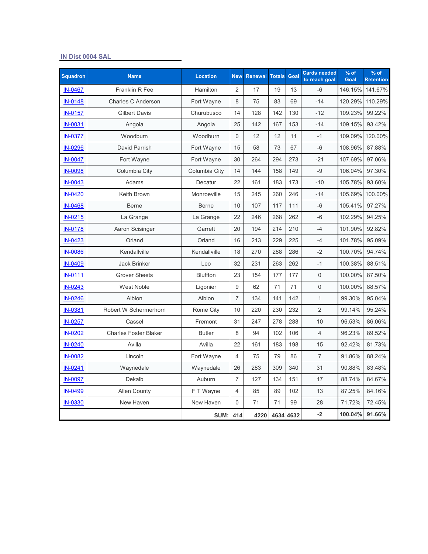#### **IN Dist 0004 SAL**

| <b>Squadron</b> | <b>Name</b>                  | <b>Location</b> | <b>New</b>       | <b>Renewal Totals</b> |                | Goal | <b>Cards needed</b><br>to reach goal | % of<br>Goal | $%$ of<br><b>Retention</b> |
|-----------------|------------------------------|-----------------|------------------|-----------------------|----------------|------|--------------------------------------|--------------|----------------------------|
| IN-0467         | Franklin R Fee               | Hamilton        | $\overline{2}$   | 17                    | 19             | 13   | $-6$                                 | 146.15%      | 141.67%                    |
| <b>IN-0148</b>  | Charles C Anderson           | Fort Wayne      | 8                | 75                    | 83             | 69   | $-14$                                | 120.29%      | 110.29%                    |
| <b>IN-0157</b>  | <b>Gilbert Davis</b>         | Churubusco      | 14               | 128                   | 142            | 130  | $-12$                                | 109.23%      | 99.22%                     |
| <b>IN-0031</b>  | Angola                       | Angola          | 25               | 142                   | 167            | 153  | $-14$                                | 109.15%      | 93.42%                     |
| <b>IN-0377</b>  | Woodburn                     | Woodburn        | $\mathbf 0$      | 12                    | 12             | 11   | $-1$                                 | 109.09%      | 120.00%                    |
| IN-0296         | David Parrish                | Fort Wayne      | 15               | 58                    | 73             | 67   | $-6$                                 | 108.96%      | 87.88%                     |
| <b>IN-0047</b>  | Fort Wayne                   | Fort Wayne      | 30               | 264                   | 294            | 273  | $-21$                                | 107.69%      | 97.06%                     |
| <b>IN-0098</b>  | Columbia City                | Columbia City   | 14               | 144                   | 158            | 149  | $-9$                                 | 106.04%      | 97.30%                     |
| <b>IN-0043</b>  | Adams                        | Decatur         | 22               | 161                   | 183            | 173  | $-10$                                | 105.78%      | 93.60%                     |
| IN-0420         | Keith Brown                  | Monroeville     | 15               | 245                   | 260            | 246  | $-14$                                | 105.69%      | 100.00%                    |
| IN-0468         | <b>Berne</b>                 | <b>Berne</b>    | 10               | 107                   | 117            | 111  | -6                                   | 105.41%      | 97.27%                     |
| IN-0215         | La Grange                    | La Grange       | 22               | 246                   | 268            | 262  | $-6$                                 | 102.29%      | 94.25%                     |
| <b>IN-0178</b>  | Aaron Scisinger              | Garrett         | 20               | 194                   | 214            | 210  | $-4$                                 | 101.90%      | 92.82%                     |
| IN-0423         | Orland                       | Orland          | 16               | 213                   | 229            | 225  | $-4$                                 | 101.78%      | 95.09%                     |
| <b>IN-0086</b>  | Kendallville                 | Kendallville    | 18               | 270                   | 288            | 286  | $-2$                                 | 100.70%      | 94.74%                     |
| IN-0409         | <b>Jack Brinker</b>          | Leo             | 32               | 231                   | 263            | 262  | $-1$                                 | 100.38%      | 88.51%                     |
| <b>IN-0111</b>  | <b>Grover Sheets</b>         | <b>Bluffton</b> | 23               | 154                   | 177            | 177  | $\overline{0}$                       | 100.00%      | 87.50%                     |
| IN-0243         | <b>West Noble</b>            | Ligonier        | $\boldsymbol{9}$ | 62                    | 71             | 71   | 0                                    | 100.00%      | 88.57%                     |
| IN-0246         | Albion                       | Albion          | $\overline{7}$   | 134                   | 141            | 142  | $\mathbf{1}$                         | 99.30%       | 95.04%                     |
| IN-0381         | Robert W Schermerhorn        | Rome City       | 10               | 220                   | 230            | 232  | $\overline{2}$                       | 99.14%       | 95.24%                     |
| IN-0257         | Cassel                       | Fremont         | 31               | 247                   | 278            | 288  | 10                                   | 96.53%       | 86.06%                     |
| IN-0202         | <b>Charles Foster Blaker</b> | <b>Butler</b>   | 8                | 94                    | 102            | 106  | $\overline{4}$                       | 96.23%       | 89.52%                     |
| IN-0240         | Avilla                       | Avilla          | 22               | 161                   | 183            | 198  | 15                                   | 92.42%       | 81.73%                     |
| <b>IN-0082</b>  | Lincoln                      | Fort Wayne      | 4                | 75                    | 79             | 86   | 7                                    | 91.86%       | 88.24%                     |
| IN-0241         | Waynedale                    | Waynedale       | 26               | 283                   | 309            | 340  | 31                                   | 90.88%       | 83.48%                     |
| IN-0097         | Dekalb                       | Auburn          | $\overline{7}$   | 127                   | 134            | 151  | 17                                   | 88.74%       | 84.67%                     |
| IN-0499         | <b>Allen County</b>          | F T Wayne       | 4                | 85                    | 89             | 102  | 13                                   | 87.25%       | 84.16%                     |
| <b>IN-0330</b>  | New Haven                    | New Haven       | $\mathbf 0$      | 71                    | 71             | 99   | 28                                   | 71.72%       | 72.45%                     |
|                 |                              | <b>SUM: 414</b> |                  |                       | 4220 4634 4632 |      | $-2$                                 | 100.04%      | 91.66%                     |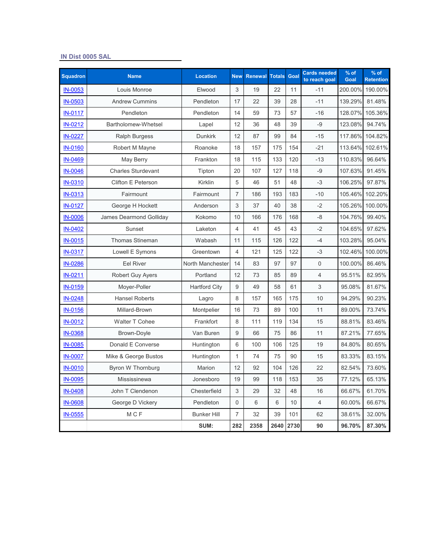#### **IN Dist 0005 SAL**

| <b>Squadron</b> | <b>Name</b>               | <b>Location</b>      | <b>New</b>     | <b>Renewal</b> | <b>Totals</b> | Goal | <b>Cards needed</b><br>to reach goal | $%$ of<br>Goal | $%$ of<br><b>Retention</b> |
|-----------------|---------------------------|----------------------|----------------|----------------|---------------|------|--------------------------------------|----------------|----------------------------|
| IN-0053         | Louis Monroe              | Elwood               | 3              | 19             | 22            | 11   | $-11$                                | 200.00%        | 190.00%                    |
| IN-0503         | <b>Andrew Cummins</b>     | Pendleton            | 17             | 22             | 39            | 28   | $-11$                                | 139.29%        | 81.48%                     |
| <b>IN-0117</b>  | Pendleton                 | Pendleton            | 14             | 59             | 73            | 57   | $-16$                                | 128.07%        | 105.36%                    |
| IN-0212         | Bartholomew-Whetsel       | Lapel                | 12             | 36             | 48            | 39   | -9                                   | 123.08%        | 94.74%                     |
| <b>IN-0227</b>  | <b>Ralph Burgess</b>      | <b>Dunkirk</b>       | 12             | 87             | 99            | 84   | $-15$                                | 117.86%        | 104.82%                    |
| <b>IN-0160</b>  | Robert M Mayne            | Roanoke              | 18             | 157            | 175           | 154  | $-21$                                | 113.64%        | 102.61%                    |
| IN-0469         | May Berry                 | Frankton             | 18             | 115            | 133           | 120  | $-13$                                | 110.83%        | 96.64%                     |
| <b>IN-0046</b>  | <b>Charles Sturdevant</b> | Tipton               | 20             | 107            | 127           | 118  | -9                                   | 107.63%        | 91.45%                     |
| IN-0310         | <b>Clifton E Peterson</b> | Kirklin              | 5              | 46             | 51            | 48   | $-3$                                 | 106.25%        | 97.87%                     |
| <u>IN-0313</u>  | Fairmount                 | Fairmount            | $\overline{7}$ | 186            | 193           | 183  | $-10$                                | 105.46%        | 102.20%                    |
| <b>IN-0127</b>  | George H Hockett          | Anderson             | 3              | 37             | 40            | 38   | $-2$                                 | 105.26%        | 100.00%                    |
| <b>IN-0006</b>  | James Dearmond Golliday   | Kokomo               | 10             | 166            | 176           | 168  | -8                                   | 104.76%        | 99.40%                     |
| IN-0402         | Sunset                    | Laketon              | $\overline{4}$ | 41             | 45            | 43   | $-2$                                 | 104.65%        | 97.62%                     |
| <b>IN-0015</b>  | <b>Thomas Stineman</b>    | Wabash               | 11             | 115            | 126           | 122  | $-4$                                 | 103.28%        | 95.04%                     |
| <b>IN-0317</b>  | Lowell E Symons           | Greentown            | $\overline{4}$ | 121            | 125           | 122  | $-3$                                 | 102.46%        | 100.00%                    |
| IN-0286         | <b>Eel River</b>          | North Manchester     | 14             | 83             | 97            | 97   | 0                                    | 100.00%        | 86.46%                     |
| IN-0211         | <b>Robert Guy Ayers</b>   | Portland             | 12             | 73             | 85            | 89   | $\overline{4}$                       | 95.51%         | 82.95%                     |
| IN-0159         | Moyer-Poller              | <b>Hartford City</b> | 9              | 49             | 58            | 61   | 3                                    | 95.08%         | 81.67%                     |
| IN-0248         | <b>Hansel Roberts</b>     | Lagro                | 8              | 157            | 165           | 175  | 10                                   | 94.29%         | 90.23%                     |
| <b>IN-0156</b>  | Millard-Brown             | Montpelier           | 16             | 73             | 89            | 100  | 11                                   | 89.00%         | 73.74%                     |
| IN-0012         | Walter T Cohee            | Frankfort            | 8              | 111            | 119           | 134  | 15                                   | 88.81%         | 83.46%                     |
| IN-0368         | Brown-Doyle               | Van Buren            | 9              | 66             | 75            | 86   | 11                                   | 87.21%         | 77.65%                     |
| <b>IN-0085</b>  | Donald E Converse         | Huntington           | 6              | 100            | 106           | 125  | 19                                   | 84.80%         | 80.65%                     |
| <b>IN-0007</b>  | Mike & George Bustos      | Huntington           | $\mathbf{1}$   | 74             | 75            | 90   | 15                                   | 83.33%         | 83.15%                     |
| <b>IN-0010</b>  | Byron W Thornburg         | Marion               | 12             | 92             | 104           | 126  | 22                                   | 82.54%         | 73.60%                     |
| IN-0095         | Mississinewa              | Jonesboro            | 19             | 99             | 118           | 153  | 35                                   | 77.12%         | 65.13%                     |
| IN-0408         | John T Clendenon          | Chesterfield         | 3              | 29             | 32            | 48   | 16                                   | 66.67%         | 61.70%                     |
| <b>IN-0608</b>  | George D Vickery          | Pendleton            | $\mathbf 0$    | 6              | 6             | 10   | $\overline{4}$                       | 60.00%         | 66.67%                     |
| IN-0555         | <b>MCF</b>                | <b>Bunker Hill</b>   | $\overline{7}$ | 32             | 39            | 101  | 62                                   | 38.61%         | 32.00%                     |
|                 |                           | SUM:                 | 282            | 2358           | 2640          | 2730 | 90                                   | 96.70%         | 87.30%                     |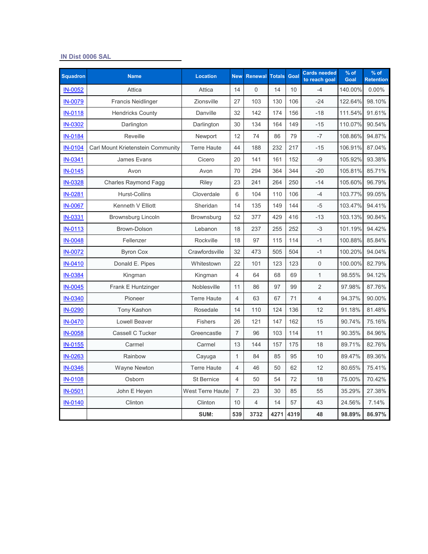#### **IN Dist 0006 SAL**

| <b>Squadron</b> | <b>Name</b>                       | <b>Location</b>    | <b>New</b>     | <b>Renewal Totals</b> |      | Goal | <b>Cards needed</b><br>to reach goal | $%$ of<br>Goal | $%$ of<br><b>Retention</b> |
|-----------------|-----------------------------------|--------------------|----------------|-----------------------|------|------|--------------------------------------|----------------|----------------------------|
| IN-0052         | Attica                            | Attica             | 14             | $\Omega$              | 14   | 10   | $-4$                                 | 140.00%        | $0.00\%$                   |
| IN-0079         | <b>Francis Neidlinger</b>         | Zionsville         | 27             | 103                   | 130  | 106  | $-24$                                | 122.64%        | 98.10%                     |
| <b>IN-0118</b>  | <b>Hendricks County</b>           | Danville           | 32             | 142                   | 174  | 156  | $-18$                                | 111.54%        | 91.61%                     |
| IN-0302         | Darlington                        | Darlington         | 30             | 134                   | 164  | 149  | $-15$                                | 110.07%        | 90.54%                     |
| IN-0184         | Reveille                          | Newport            | 12             | 74                    | 86   | 79   | $-7$                                 | 108.86%        | 94.87%                     |
| IN-0104         | Carl Mount Krietenstein Community | <b>Terre Haute</b> | 44             | 188                   | 232  | 217  | $-15$                                | 106.91%        | 87.04%                     |
| IN-0341         | James Evans                       | Cicero             | 20             | 141                   | 161  | 152  | $-9$                                 | 105.92%        | 93.38%                     |
| IN-0145         | Avon                              | Avon               | 70             | 294                   | 364  | 344  | $-20$                                | 105.81%        | 85.71%                     |
| IN-0328         | <b>Charles Raymond Fagg</b>       | Riley              | 23             | 241                   | 264  | 250  | $-14$                                | 105.60%        | 96.79%                     |
| IN-0281         | <b>Hurst-Collins</b>              | Cloverdale         | 6              | 104                   | 110  | 106  | $-4$                                 | 103.77%        | 99.05%                     |
| <b>IN-0067</b>  | Kenneth V Elliott                 | Sheridan           | 14             | 135                   | 149  | 144  | $-5$                                 | 103.47%        | 94.41%                     |
| IN-0331         | Brownsburg Lincoln                | Brownsburg         | 52             | 377                   | 429  | 416  | $-13$                                | 103.13%        | 90.84%                     |
| IN-0113         | Brown-Dolson                      | Lebanon            | 18             | 237                   | 255  | 252  | $-3$                                 | 101.19%        | 94.42%                     |
| <b>IN-0048</b>  | Fellenzer                         | Rockville          | 18             | 97                    | 115  | 114  | $-1$                                 | 100.88%        | 85.84%                     |
| IN-0072         | <b>Byron Cox</b>                  | Crawfordsville     | 32             | 473                   | 505  | 504  | $-1$                                 | 100.20%        | 94.04%                     |
| IN-0410         | Donald E. Pipes                   | Whitestown         | 22             | 101                   | 123  | 123  | $\mathbf 0$                          | 100.00%        | 82.79%                     |
| IN-0384         | Kingman                           | Kingman            | 4              | 64                    | 68   | 69   | $\mathbf{1}$                         | 98.55%         | 94.12%                     |
| IN-0045         | Frank E Huntzinger                | Noblesville        | 11             | 86                    | 97   | 99   | $\overline{2}$                       | 97.98%         | 87.76%                     |
| IN-0340         | Pioneer                           | <b>Terre Haute</b> | 4              | 63                    | 67   | 71   | $\overline{4}$                       | 94.37%         | 90.00%                     |
| IN-0290         | Tony Kashon                       | Rosedale           | 14             | 110                   | 124  | 136  | 12                                   | 91.18%         | 81.48%                     |
| IN-0470         | <b>Lowell Beaver</b>              | <b>Fishers</b>     | 26             | 121                   | 147  | 162  | 15                                   | 90.74%         | 75.16%                     |
| <b>IN-0058</b>  | Cassell C Tucker                  | Greencastle        | $\overline{7}$ | 96                    | 103  | 114  | 11                                   | 90.35%         | 84.96%                     |
| IN-0155         | Carmel                            | Carmel             | 13             | 144                   | 157  | 175  | 18                                   | 89.71%         | 82.76%                     |
| IN-0263         | Rainbow                           | Cayuga             | $\mathbf{1}$   | 84                    | 85   | 95   | 10                                   | 89.47%         | 89.36%                     |
| IN-0346         | Wayne Newton                      | <b>Terre Haute</b> | $\overline{4}$ | 46                    | 50   | 62   | 12                                   | 80.65%         | 75.41%                     |
| <b>IN-0108</b>  | Osborn                            | <b>St Bernice</b>  | $\overline{4}$ | 50                    | 54   | 72   | 18                                   | 75.00%         | 70.42%                     |
| IN-0501         | John E Heyen                      | West Terre Haute   | $\overline{7}$ | 23                    | 30   | 85   | 55                                   | 35.29%         | 27.38%                     |
| IN-0140         | Clinton                           | Clinton            | 10             | $\overline{4}$        | 14   | 57   | 43                                   | 24.56%         | 7.14%                      |
|                 |                                   | SUM:               | 539            | 3732                  | 4271 | 4319 | 48                                   | 98.89%         | 86.97%                     |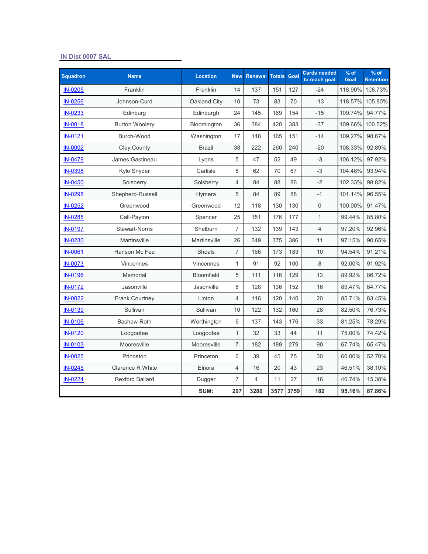#### **IN Dist 0007 SAL**

| <b>Squadron</b> | <b>Name</b>             | <b>Location</b>     | <b>New</b>     | <b>Renewal Totals</b> |      | Goal | <b>Cards needed</b><br>to reach goal | $%$ of<br>Goal | $%$ of<br><b>Retention</b> |
|-----------------|-------------------------|---------------------|----------------|-----------------------|------|------|--------------------------------------|----------------|----------------------------|
| IN-0205         | Franklin                | Franklin            | 14             | 137                   | 151  | 127  | $-24$                                | 118.90%        | 108.73%                    |
| IN-0256         | Johnson-Curd            | Oakland City        | 10             | 73                    | 83   | 70   | $-13$                                | 118.57%        | 105.80%                    |
| IN-0233         | Edinburg                | Edinburgh           | 24             | 145                   | 169  | 154  | $-15$                                | 109.74%        | 94.77%                     |
| <b>IN-0018</b>  | <b>Burton Woolery</b>   | Bloomington         | 36             | 384                   | 420  | 383  | $-37$                                | 109.66%        | 100.52%                    |
| IN-0121         | Burch-Wood              | Washington          | 17             | 148                   | 165  | 151  | $-14$                                | 109.27%        | 98.67%                     |
| <b>IN-0002</b>  | <b>Clay County</b>      | <b>Brazil</b>       | 38             | 222                   | 260  | 240  | $-20$                                | 108.33%        | 92.89%                     |
| IN-0479         | James Gastineau         | Lyons               | 5              | 47                    | 52   | 49   | $-3$                                 | 106.12%        | 97.92%                     |
| IN-0398         | Kyle Snyder             | Carlisle            | 8              | 62                    | 70   | 67   | $-3$                                 | 104.48%        | 93.94%                     |
| IN-0450         | Solsberry               | Solsberry           | $\overline{4}$ | 84                    | 88   | 86   | $-2$                                 | 102.33%        | 98.82%                     |
| IN-0298         | Shepherd-Russell        | Hymera              | 5              | 84                    | 89   | 88   | $-1$                                 | 101.14%        | 96.55%                     |
| IN-0252         | Greenwood               | Greenwood           | 12             | 118                   | 130  | 130  | $\mathsf 0$                          | 100.00%        | 91.47%                     |
| IN-0285         | Call-Payton             | Spencer             | 25             | 151                   | 176  | 177  | $\mathbf{1}$                         | 99.44%         | 85.80%                     |
| IN-0197         | <b>Stewart-Norris</b>   | Shelburn            | $\overline{7}$ | 132                   | 139  | 143  | $\overline{4}$                       | 97.20%         | 92.96%                     |
| IN-0230         | <b>Martinsville</b>     | <b>Martinsville</b> | 26             | 349                   | 375  | 386  | 11                                   | 97.15%         | 90.65%                     |
| <b>IN-0061</b>  | Hanson Mc Fee           | Shoals              | $\overline{7}$ | 166                   | 173  | 183  | 10                                   | 94.54%         | 91.21%                     |
| <b>IN-0073</b>  | Vincennes               | Vincennes           | $\mathbf{1}$   | 91                    | 92   | 100  | 8                                    | 92.00%         | 91.92%                     |
| <b>IN-0196</b>  | Memorial                | <b>Bloomfield</b>   | 5              | 111                   | 116  | 129  | 13                                   | 89.92%         | 86.72%                     |
| <b>IN-0172</b>  | Jasonville              | Jasonville          | 8              | 128                   | 136  | 152  | 16                                   | 89.47%         | 84.77%                     |
| <b>IN-0022</b>  | <b>Frank Courtney</b>   | Linton              | $\overline{4}$ | 116                   | 120  | 140  | 20                                   | 85.71%         | 83.45%                     |
| IN-0139         | Sullivan                | Sullivan            | 10             | 122                   | 132  | 160  | 28                                   | 82.50%         | 76.73%                     |
| <b>IN-0106</b>  | Bashaw-Roth             | Worthington         | 6              | 137                   | 143  | 176  | 33                                   | 81.25%         | 78.29%                     |
| IN-0120         | Loogootee               | Loogootee           | $\mathbf{1}$   | 32                    | 33   | 44   | 11                                   | 75.00%         | 74.42%                     |
| IN-0103         | Mooresville             | Mooresville         | $\overline{7}$ | 182                   | 189  | 279  | 90                                   | 67.74%         | 65.47%                     |
| IN-0025         | Princeton               | Princeton           | 6              | 39                    | 45   | 75   | 30                                   | 60.00%         | 52.70%                     |
| IN-0245         | <b>Clarence R White</b> | Elnora              | $\overline{4}$ | 16                    | 20   | 43   | 23                                   | 46.51%         | 38.10%                     |
| IN-0224         | <b>Rexford Ballard</b>  | Dugger              | $\overline{7}$ | $\overline{4}$        | 11   | 27   | 16                                   | 40.74%         | 15.38%                     |
|                 |                         | SUM:                | 297            | 3280                  | 3577 | 3759 | 182                                  | 95.16%         | 87.86%                     |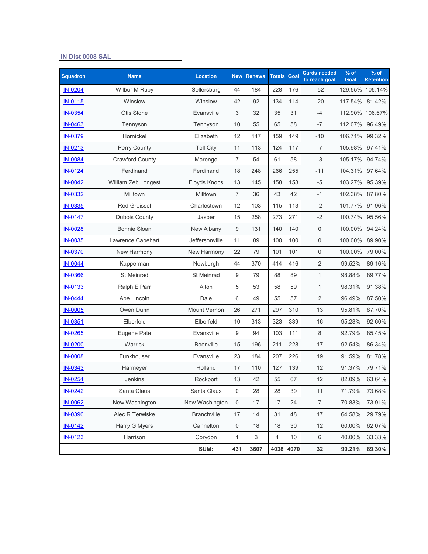### **IN Dist 0008 SAL**

| <b>Squadron</b> | <b>Name</b>            | <b>Location</b>  | <b>New</b>     | <b>Renewal</b> | <b>Totals</b> | Goal | <b>Cards needed</b><br>to reach goal | $%$ of<br>Goal | % of<br><b>Retention</b> |
|-----------------|------------------------|------------------|----------------|----------------|---------------|------|--------------------------------------|----------------|--------------------------|
| IN-0204         | Wilbur M Ruby          | Sellersburg      | 44             | 184            | 228           | 176  | $-52$                                | 129.55%        | 105.14%                  |
| <b>IN-0115</b>  | Winslow                | Winslow          | 42             | 92             | 134           | 114  | $-20$                                | 117.54%        | 81.42%                   |
| <b>IN-0354</b>  | Otis Stone             | Evansville       | 3              | 32             | 35            | 31   | $-4$                                 | 112.90%        | 106.67%                  |
| IN-0463         | Tennyson               | Tennyson         | 10             | 55             | 65            | 58   | $-7$                                 | 112.07%        | 96.49%                   |
| <b>IN-0379</b>  | Hornickel              | Elizabeth        | 12             | 147            | 159           | 149  | $-10$                                | 106.71%        | 99.32%                   |
| IN-0213         | Perry County           | <b>Tell City</b> | 11             | 113            | 124           | 117  | $-7$                                 | 105.98%        | 97.41%                   |
| <b>IN-0084</b>  | <b>Crawford County</b> | Marengo          | $\overline{7}$ | 54             | 61            | 58   | $-3$                                 | 105.17%        | 94.74%                   |
| <b>IN-0124</b>  | Ferdinand              | Ferdinand        | 18             | 248            | 266           | 255  | $-11$                                | 104.31%        | 97.64%                   |
| <b>IN-0042</b>  | William Zeb Longest    | Floyds Knobs     | 13             | 145            | 158           | 153  | $-5$                                 | 103.27%        | 95.39%                   |
| <b>IN-0332</b>  | Milltown               | Milltown         | $\overline{7}$ | 36             | 43            | 42   | $-1$                                 | 102.38%        | 87.80%                   |
| IN-0335         | <b>Red Greissel</b>    | Charlestown      | 12             | 103            | 115           | 113  | $-2$                                 | 101.77%        | 91.96%                   |
| <b>IN-0147</b>  | Dubois County          | Jasper           | 15             | 258            | 273           | 271  | $-2$                                 | 100.74%        | 95.56%                   |
| IN-0028         | <b>Bonnie Sloan</b>    | New Albany       | 9              | 131            | 140           | 140  | $\mathsf{O}\xspace$                  | 100.00%        | 94.24%                   |
| <b>IN-0035</b>  | Lawrence Capehart      | Jeffersonville   | 11             | 89             | 100           | 100  | $\mathbf 0$                          | 100.00%        | 89.90%                   |
| <b>IN-0370</b>  | New Harmony            | New Harmony      | 22             | 79             | 101           | 101  | $\mathsf 0$                          | 100.00%        | 79.00%                   |
| <b>IN-0044</b>  | Kapperman              | Newburgh         | 44             | 370            | 414           | 416  | $\overline{2}$                       | 99.52%         | 89.16%                   |
| <b>IN-0366</b>  | St Meinrad             | St Meinrad       | 9              | 79             | 88            | 89   | $\mathbf{1}$                         | 98.88%         | 89.77%                   |
| <b>IN-0133</b>  | Ralph E Parr           | Alton            | 5              | 53             | 58            | 59   | $\mathbf{1}$                         | 98.31%         | 91.38%                   |
| IN-0444         | Abe Lincoln            | Dale             | 6              | 49             | 55            | 57   | $\overline{2}$                       | 96.49%         | 87.50%                   |
| <b>IN-0005</b>  | Owen Dunn              | Mount Vernon     | 26             | 271            | 297           | 310  | 13                                   | 95.81%         | 87.70%                   |
| IN-0351         | Elberfeld              | Elberfeld        | 10             | 313            | 323           | 339  | 16                                   | 95.28%         | 92.60%                   |
| IN-0265         | Eugene Pate            | Evansville       | 9              | 94             | 103           | 111  | 8                                    | 92.79%         | 85.45%                   |
| <b>IN-0200</b>  | Warrick                | Boonville        | 15             | 196            | 211           | 228  | 17                                   | 92.54%         | 86.34%                   |
| <b>IN-0008</b>  | Funkhouser             | Evansville       | 23             | 184            | 207           | 226  | 19                                   | 91.59%         | 81.78%                   |
| IN-0343         | Harmeyer               | Holland          | 17             | 110            | 127           | 139  | 12                                   | 91.37%         | 79.71%                   |
| <b>IN-0254</b>  | <b>Jenkins</b>         | Rockport         | $13$           | 42             | 55            | 67   | 12                                   | 82.09%         | 63.64%                   |
| <b>IN-0242</b>  | Santa Claus            | Santa Claus      | $\mathbf 0$    | 28             | 28            | 39   | 11                                   | 71.79%         | 73.68%                   |
| <b>IN-0062</b>  | New Washington         | New Washington   | $\,0\,$        | 17             | 17            | 24   | $\overline{7}$                       | 70.83%         | 73.91%                   |
| <b>IN-0390</b>  | Alec R Terwiske        | Branchville      | 17             | 14             | 31            | 48   | 17                                   | 64.58%         | 29.79%                   |
| IN-0142         | Harry G Myers          | Cannelton        | $\,0\,$        | 18             | 18            | 30   | 12                                   | 60.00%         | 62.07%                   |
| IN-0123         | Harrison               | Corydon          | 1              | 3              | 4             | 10   | 6                                    | 40.00%         | 33.33%                   |
|                 |                        | SUM:             | 431            | 3607           | 4038          | 4070 | 32                                   | 99.21%         | 89.30%                   |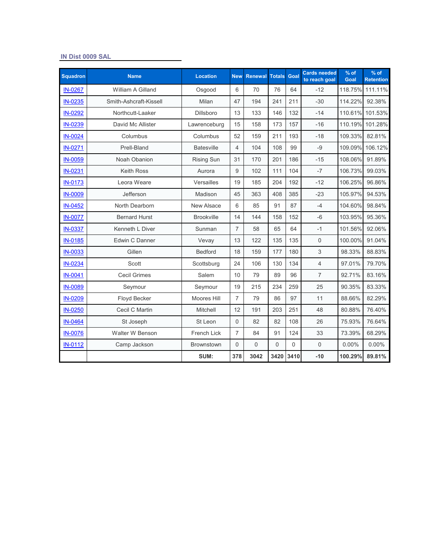#### **IN Dist 0009 SAL**

| <b>Squadron</b> | <b>Name</b>            | <b>Location</b>   | <b>New</b>     | <b>Renewal</b> | <b>Totals</b> | Goal     | Cards needed<br>to reach goal | % of<br>Goal | $%$ of<br><b>Retention</b> |
|-----------------|------------------------|-------------------|----------------|----------------|---------------|----------|-------------------------------|--------------|----------------------------|
| <b>IN-0267</b>  | William A Gilland      | Osgood            | 6              | 70             | 76            | 64       | $-12$                         | 118.75%      | 111.11%                    |
| IN-0235         | Smith-Ashcraft-Kissell | Milan             | 47             | 194            | 241           | 211      | $-30$                         | 114.22%      | 92.38%                     |
| IN-0292         | Northcutt-Laaker       | <b>Dillsboro</b>  | 13             | 133            | 146           | 132      | $-14$                         | 110.61%      | 101.53%                    |
| IN-0239         | David Mc Allister      | Lawrenceburg      | 15             | 158            | 173           | 157      | $-16$                         | 110.19%      | 101.28%                    |
| IN-0024         | Columbus               | Columbus          | 52             | 159            | 211           | 193      | $-18$                         | 109.33%      | 82.81%                     |
| IN-0271         | Prell-Bland            | <b>Batesville</b> | $\overline{4}$ | 104            | 108           | 99       | $-9$                          | 109.09%      | 106.12%                    |
| <b>IN-0059</b>  | Noah Obanion           | <b>Rising Sun</b> | 31             | 170            | 201           | 186      | $-15$                         | 108.06%      | 91.89%                     |
| IN-0231         | <b>Keith Ross</b>      | Aurora            | 9              | 102            | 111           | 104      | $-7$                          | 106.73%      | 99.03%                     |
| <b>IN-0173</b>  | Leora Weare            | Versailles        | 19             | 185            | 204           | 192      | $-12$                         | 106.25%      | 96.86%                     |
| <b>IN-0009</b>  | Jefferson              | Madison           | 45             | 363            | 408           | 385      | $-23$                         | 105.97%      | 94.53%                     |
| IN-0452         | North Dearborn         | New Alsace        | 6              | 85             | 91            | 87       | $-4$                          | 104.60%      | 98.84%                     |
| <b>IN-0077</b>  | <b>Bernard Hurst</b>   | <b>Brookville</b> | 14             | 144            | 158           | 152      | $-6$                          | 103.95%      | 95.36%                     |
| <b>IN-0337</b>  | Kenneth L Diver        | Sunman            | $\overline{7}$ | 58             | 65            | 64       | $-1$                          | 101.56%      | 92.06%                     |
| IN-0185         | Edwin C Danner         | Vevay             | 13             | 122            | 135           | 135      | $\mathsf{O}\xspace$           | 100.00%      | 91.04%                     |
| <b>IN-0033</b>  | Gillen                 | <b>Bedford</b>    | 18             | 159            | 177           | 180      | 3                             | 98.33%       | 88.83%                     |
| IN-0234         | Scott                  | Scottsburg        | 24             | 106            | 130           | 134      | $\overline{4}$                | 97.01%       | 79.70%                     |
| IN-0041         | <b>Cecil Grimes</b>    | Salem             | 10             | 79             | 89            | 96       | $\overline{7}$                | 92.71%       | 83.16%                     |
| <b>IN-0089</b>  | Seymour                | Seymour           | 19             | 215            | 234           | 259      | 25                            | 90.35%       | 83.33%                     |
| IN-0209         | Floyd Becker           | Moores Hill       | $\overline{7}$ | 79             | 86            | 97       | 11                            | 88.66%       | 82.29%                     |
| IN-0250         | Cecil C Martin         | Mitchell          | 12             | 191            | 203           | 251      | 48                            | 80.88%       | 76.40%                     |
| IN-0464         | St Joseph              | St Leon           | 0              | 82             | 82            | 108      | 26                            | 75.93%       | 76.64%                     |
| <b>IN-0076</b>  | Walter W Benson        | French Lick       | $\overline{7}$ | 84             | 91            | 124      | 33                            | 73.39%       | 68.29%                     |
| <b>IN-0112</b>  | Camp Jackson           | <b>Brownstown</b> | $\overline{0}$ | $\overline{0}$ | $\Omega$      | $\Omega$ | $\mathbf 0$                   | 0.00%        | 0.00%                      |
|                 |                        | SUM:              | 378            | 3042           | 3420          | 3410     | $-10$                         | 100.29%      | 89.81%                     |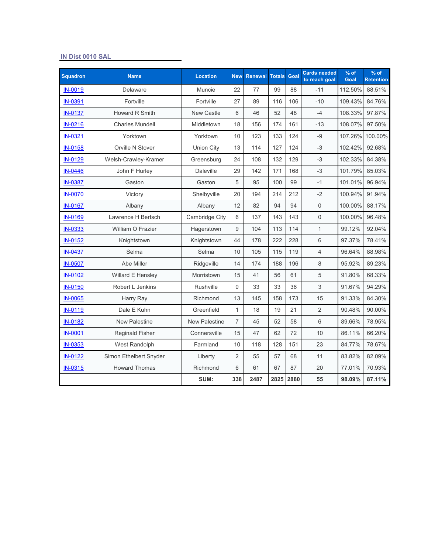#### **IN Dist 0010 SAL**

| <b>Squadron</b> | <b>Name</b>            | <b>Location</b>      | <b>New</b>     | <b>Renewal Totals</b> |      | Goal | <b>Cards needed</b><br>to reach goal | $%$ of<br>Goal | $%$ of<br><b>Retention</b> |
|-----------------|------------------------|----------------------|----------------|-----------------------|------|------|--------------------------------------|----------------|----------------------------|
| IN-0019         | Delaware               | <b>Muncie</b>        | 22             | 77                    | 99   | 88   | $-11$                                | 112.50%        | 88.51%                     |
| IN-0391         | Fortville              | Fortville            | 27             | 89                    | 116  | 106  | $-10$                                | 109.43%        | 84.76%                     |
| <b>IN-0137</b>  | Howard R Smith         | <b>New Castle</b>    | 6              | 46                    | 52   | 48   | $-4$                                 | 108.33%        | 97.87%                     |
| IN-0216         | <b>Charles Mundell</b> | Middletown           | 18             | 156                   | 174  | 161  | $-13$                                | 108.07%        | 97.50%                     |
| IN-0321         | Yorktown               | Yorktown             | 10             | 123                   | 133  | 124  | $-9$                                 | 107.26%        | 100.00%                    |
| IN-0158         | Orville N Stover       | <b>Union City</b>    | 13             | 114                   | 127  | 124  | $-3$                                 | 102.42%        | 92.68%                     |
| IN-0129         | Welsh-Crawley-Kramer   | Greensburg           | 24             | 108                   | 132  | 129  | $-3$                                 | 102.33%        | 84.38%                     |
| IN-0446         | John F Hurley          | <b>Daleville</b>     | 29             | 142                   | 171  | 168  | $-3$                                 | 101.79%        | 85.03%                     |
| <b>IN-0387</b>  | Gaston                 | Gaston               | 5              | 95                    | 100  | 99   | $-1$                                 | 101.01%        | 96.94%                     |
| <b>IN-0070</b>  | Victory                | Shelbyville          | 20             | 194                   | 214  | 212  | $-2$                                 | 100.94%        | 91.94%                     |
| <b>IN-0167</b>  | Albany                 | Albany               | 12             | 82                    | 94   | 94   | $\mathbf 0$                          | 100.00%        | 88.17%                     |
| IN-0169         | Lawrence H Bertsch     | Cambridge City       | 6              | 137                   | 143  | 143  | $\overline{0}$                       | 100.00%        | 96.48%                     |
| IN-0333         | William O Frazier      | Hagerstown           | 9              | 104                   | 113  | 114  | $\mathbf{1}$                         | 99.12%         | 92.04%                     |
| IN-0152         | Knightstown            | Knightstown          | 44             | 178                   | 222  | 228  | 6                                    | 97.37%         | 78.41%                     |
| <b>IN-0437</b>  | Selma                  | Selma                | 10             | 105                   | 115  | 119  | $\overline{4}$                       | 96.64%         | 88.98%                     |
| <b>IN-0507</b>  | Abe Miller             | Ridgeville           | 14             | 174                   | 188  | 196  | 8                                    | 95.92%         | 89.23%                     |
| IN-0102         | Willard E Hensley      | Morristown           | 15             | 41                    | 56   | 61   | 5                                    | 91.80%         | 68.33%                     |
| <b>IN-0150</b>  | Robert L Jenkins       | Rushville            | 0              | 33                    | 33   | 36   | 3                                    | 91.67%         | 94.29%                     |
| <b>IN-0065</b>  | Harry Ray              | Richmond             | 13             | 145                   | 158  | 173  | 15                                   | 91.33%         | 84.30%                     |
| IN-0119         | Dale E Kuhn            | Greenfield           | $\mathbf{1}$   | 18                    | 19   | 21   | $\overline{2}$                       | 90.48%         | 90.00%                     |
| <b>IN-0182</b>  | <b>New Palestine</b>   | <b>New Palestine</b> | $\overline{7}$ | 45                    | 52   | 58   | 6                                    | 89.66%         | 78.95%                     |
| <b>IN-0001</b>  | <b>Reginald Fisher</b> | Connersville         | 15             | 47                    | 62   | 72   | 10                                   | 86.11%         | 66.20%                     |
| IN-0353         | West Randolph          | Farmland             | 10             | 118                   | 128  | 151  | 23                                   | 84.77%         | 78.67%                     |
| IN-0122         | Simon Ethelbert Snyder | Liberty              | $\overline{2}$ | 55                    | 57   | 68   | 11                                   | 83.82%         | 82.09%                     |
| <b>IN-0315</b>  | <b>Howard Thomas</b>   | Richmond             | 6              | 61                    | 67   | 87   | 20                                   | 77.01%         | 70.93%                     |
|                 |                        | SUM:                 | 338            | 2487                  | 2825 | 2880 | 55                                   | 98.09%         | 87.11%                     |